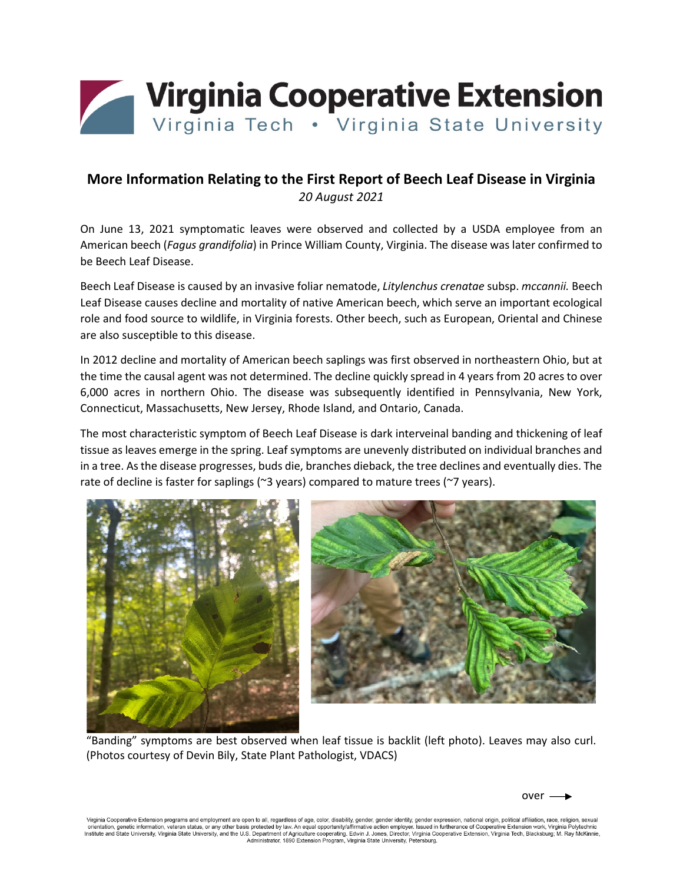

## **More Information Relating to the First Report of Beech Leaf Disease in Virginia**  *20 August 2021*

On June 13, 2021 symptomatic leaves were observed and collected by a USDA employee from an American beech (*Fagus grandifolia*) in Prince William County, Virginia. The disease was later confirmed to be Beech Leaf Disease.

Beech Leaf Disease is caused by an invasive foliar nematode, *Litylenchus crenatae* subsp. *mccannii.* Beech Leaf Disease causes decline and mortality of native American beech, which serve an important ecological role and food source to wildlife, in Virginia forests. Other beech, such as European, Oriental and Chinese are also susceptible to this disease.

In 2012 decline and mortality of American beech saplings was first observed in northeastern Ohio, but at the time the causal agent was not determined. The decline quickly spread in 4 years from 20 acres to over 6,000 acres in northern Ohio. The disease was subsequently identified in Pennsylvania, New York, Connecticut, Massachusetts, New Jersey, Rhode Island, and Ontario, Canada.

The most characteristic symptom of Beech Leaf Disease is dark interveinal banding and thickening of leaf tissue as leaves emerge in the spring. Leaf symptoms are unevenly distributed on individual branches and in a tree. As the disease progresses, buds die, branches dieback, the tree declines and eventually dies. The rate of decline is faster for saplings (~3 years) compared to mature trees (~7 years).



"Banding" symptoms are best observed when leaf tissue is backlit (left photo). Leaves may also curl. (Photos courtesy of Devin Bily, State Plant Pathologist, VDACS)

over

Virginia Cooperative Extension programs and employment are open to all, regardless of age, color, disability, gender, gender identity, gender expression, national origin, political affiliation, race, religion, sexual orientation, genetic information, versus and the Using terms of any other basis protected by law. An equal opportunity/affirmative action employer. Issued in furtherance of Cooperative Extension work, Virginia Polytechnic<br>